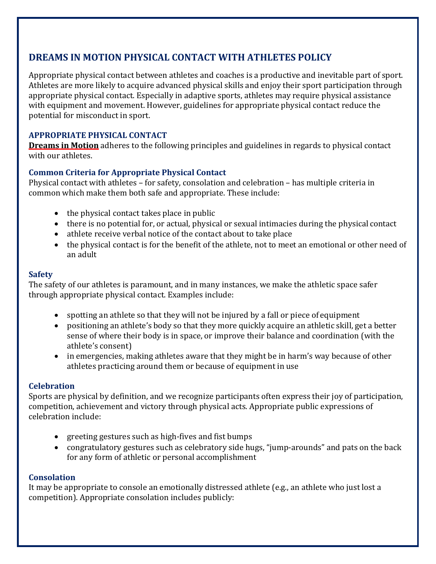# **DREAMS IN MOTION PHYSICAL CONTACT WITH ATHLETES POLICY**

Appropriate physical contact between athletes and coaches is a productive and inevitable part of sport. Athletes are more likely to acquire advanced physical skills and enjoy their sport participation through appropriate physical contact. Especially in adaptive sports, athletes may require physical assistance with equipment and movement. However, guidelines for appropriate physical contact reduce the potential for misconduct in sport.

## **APPROPRIATE PHYSICAL CONTACT**

**Dreams in Motion** adheres to the following principles and guidelines in regards to physical contact with our athletes.

### **Common Criteria for Appropriate Physical Contact**

Physical contact with athletes – for safety, consolation and celebration – has multiple criteria in common which make them both safe and appropriate. These include:

- the physical contact takes place in public
- there is no potential for, or actual, physical or sexual intimacies during the physical contact
- athlete receive verbal notice of the contact about to take place
- the physical contact is for the benefit of the athlete, not to meet an emotional or other need of an adult

### **Safety**

The safety of our athletes is paramount, and in many instances, we make the athletic space safer through appropriate physical contact. Examples include:

- spotting an athlete so that they will not be injured by a fall or piece of equipment
- positioning an athlete's body so that they more quickly acquire an athletic skill, get a better sense of where their body is in space, or improve their balance and coordination (with the athlete's consent)
- in emergencies, making athletes aware that they might be in harm's way because of other athletes practicing around them or because of equipment in use

### **Celebration**

Sports are physical by definition, and we recognize participants often express their joy of participation, competition, achievement and victory through physical acts. Appropriate public expressions of celebration include:

- greeting gestures such as high-fives and fist bumps
- congratulatory gestures such as celebratory side hugs, "jump-arounds" and pats on the back for any form of athletic or personal accomplishment

### **Consolation**

It may be appropriate to console an emotionally distressed athlete (e.g., an athlete who just lost a competition). Appropriate consolation includes publicly: